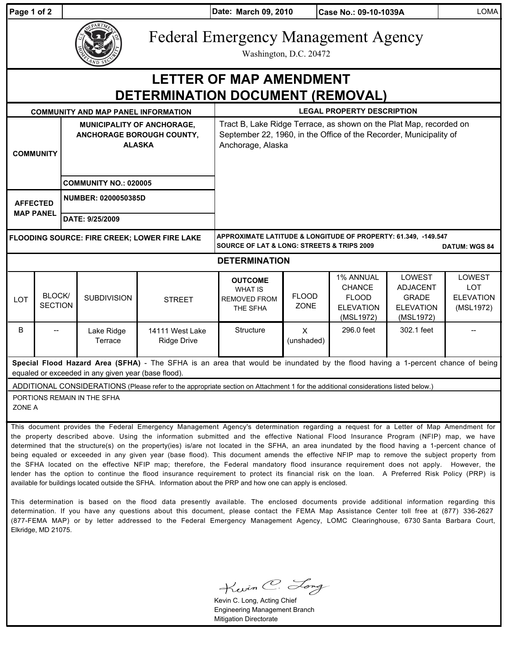| Page 1 of 2                                                                                                                                                                                                                                                                                                                                                                                                                                                                                                                                                                      |                          |                                                                                 |                                       | Date: March 09, 2010                                                                                                                                          |                             | Case No.: 09-10-1039A                                                              |                                                                                   | <b>LOMA</b>                                                  |
|----------------------------------------------------------------------------------------------------------------------------------------------------------------------------------------------------------------------------------------------------------------------------------------------------------------------------------------------------------------------------------------------------------------------------------------------------------------------------------------------------------------------------------------------------------------------------------|--------------------------|---------------------------------------------------------------------------------|---------------------------------------|---------------------------------------------------------------------------------------------------------------------------------------------------------------|-----------------------------|------------------------------------------------------------------------------------|-----------------------------------------------------------------------------------|--------------------------------------------------------------|
|                                                                                                                                                                                                                                                                                                                                                                                                                                                                                                                                                                                  |                          | <b>Federal Emergency Management Agency</b><br>Washington, D.C. 20472            |                                       |                                                                                                                                                               |                             |                                                                                    |                                                                                   |                                                              |
| <b>LETTER OF MAP AMENDMENT</b>                                                                                                                                                                                                                                                                                                                                                                                                                                                                                                                                                   |                          |                                                                                 |                                       |                                                                                                                                                               |                             |                                                                                    |                                                                                   |                                                              |
| DETERMINATION DOCUMENT (REMOVAL)                                                                                                                                                                                                                                                                                                                                                                                                                                                                                                                                                 |                          |                                                                                 |                                       |                                                                                                                                                               |                             |                                                                                    |                                                                                   |                                                              |
|                                                                                                                                                                                                                                                                                                                                                                                                                                                                                                                                                                                  |                          | <b>COMMUNITY AND MAP PANEL INFORMATION</b>                                      |                                       | <b>LEGAL PROPERTY DESCRIPTION</b>                                                                                                                             |                             |                                                                                    |                                                                                   |                                                              |
| <b>COMMUNITY</b>                                                                                                                                                                                                                                                                                                                                                                                                                                                                                                                                                                 |                          | <b>MUNICIPALITY OF ANCHORAGE,</b><br>ANCHORAGE BOROUGH COUNTY,<br><b>ALASKA</b> |                                       | Tract B, Lake Ridge Terrace, as shown on the Plat Map, recorded on<br>September 22, 1960, in the Office of the Recorder, Municipality of<br>Anchorage, Alaska |                             |                                                                                    |                                                                                   |                                                              |
|                                                                                                                                                                                                                                                                                                                                                                                                                                                                                                                                                                                  |                          | <b>COMMUNITY NO.: 020005</b>                                                    |                                       |                                                                                                                                                               |                             |                                                                                    |                                                                                   |                                                              |
| <b>AFFECTED</b><br><b>MAP PANEL</b>                                                                                                                                                                                                                                                                                                                                                                                                                                                                                                                                              |                          | <b>NUMBER: 0200050385D</b><br>DATE: 9/25/2009                                   |                                       |                                                                                                                                                               |                             |                                                                                    |                                                                                   |                                                              |
|                                                                                                                                                                                                                                                                                                                                                                                                                                                                                                                                                                                  |                          |                                                                                 |                                       |                                                                                                                                                               |                             |                                                                                    |                                                                                   |                                                              |
| <b>FLOODING SOURCE: FIRE CREEK; LOWER FIRE LAKE</b>                                                                                                                                                                                                                                                                                                                                                                                                                                                                                                                              |                          |                                                                                 |                                       | APPROXIMATE LATITUDE & LONGITUDE OF PROPERTY: 61.349, -149.547<br><b>SOURCE OF LAT &amp; LONG: STREETS &amp; TRIPS 2009</b><br><b>DATUM: WGS 84</b>           |                             |                                                                                    |                                                                                   |                                                              |
| <b>DETERMINATION</b>                                                                                                                                                                                                                                                                                                                                                                                                                                                                                                                                                             |                          |                                                                                 |                                       |                                                                                                                                                               |                             |                                                                                    |                                                                                   |                                                              |
| LOT                                                                                                                                                                                                                                                                                                                                                                                                                                                                                                                                                                              | BLOCK/<br><b>SECTION</b> | <b>SUBDIVISION</b>                                                              | <b>STREET</b>                         | <b>OUTCOME</b><br><b>WHAT IS</b><br><b>REMOVED FROM</b><br>THE SFHA                                                                                           | <b>FLOOD</b><br><b>ZONE</b> | <b>1% ANNUAL</b><br><b>CHANCE</b><br><b>FLOOD</b><br><b>ELEVATION</b><br>(MSL1972) | <b>LOWEST</b><br><b>ADJACENT</b><br><b>GRADE</b><br><b>ELEVATION</b><br>(MSL1972) | <b>LOWEST</b><br><b>LOT</b><br><b>ELEVATION</b><br>(MSL1972) |
| B                                                                                                                                                                                                                                                                                                                                                                                                                                                                                                                                                                                |                          | Lake Ridge<br>Terrace                                                           | 14111 West Lake<br><b>Ridge Drive</b> | Structure                                                                                                                                                     | $\times$<br>(unshaded)      | 296.0 feet                                                                         | 302.1 feet                                                                        |                                                              |
| Special Flood Hazard Area (SFHA) - The SFHA is an area that would be inundated by the flood having a 1-percent chance of being<br>equaled or exceeded in any given year (base flood).                                                                                                                                                                                                                                                                                                                                                                                            |                          |                                                                                 |                                       |                                                                                                                                                               |                             |                                                                                    |                                                                                   |                                                              |
| ADDITIONAL CONSIDERATIONS (Please refer to the appropriate section on Attachment 1 for the additional considerations listed below.)                                                                                                                                                                                                                                                                                                                                                                                                                                              |                          |                                                                                 |                                       |                                                                                                                                                               |                             |                                                                                    |                                                                                   |                                                              |
| PORTIONS REMAIN IN THE SFHA<br>ZONE A                                                                                                                                                                                                                                                                                                                                                                                                                                                                                                                                            |                          |                                                                                 |                                       |                                                                                                                                                               |                             |                                                                                    |                                                                                   |                                                              |
| This document provides the Federal Emergency Management Agency's determination regarding a request for a Letter of Map Amendment for<br>the property described above. Using the information submitted and the effective National Flood Insurance Program (NFIP) map, we have<br>determined that the structure(s) on the property(ies) is/are not located in the SFHA, an area inundated by the flood having a 1-percent chance of<br>being equaled or exceeded in any given year (base flood). This document amends the effective NFIP map to remove the subject property from I |                          |                                                                                 |                                       |                                                                                                                                                               |                             |                                                                                    |                                                                                   |                                                              |

being equaled or exceeded in any given year (base flood). This document amends the effective NFIP map to remove the subject property from the SFHA located on the effective NFIP map; therefore, the Federal mandatory flood insurance requirement does not apply. However, the lender has the option to continue the flood insurance requirement to protect its financial risk on the loan. A Preferred Risk Policy (PRP) is available for buildings located outside the SFHA. Information about the PRP and how one can apply is enclosed.

This determination is based on the flood data presently available. The enclosed documents provide additional information regarding this determination. If you have any questions about this document, please contact the FEMA Map Assistance Center toll free at (877) 336-2627 (877-FEMA MAP) or by letter addressed to the Federal Emergency Management Agency, LOMC Clearinghouse, 6730 Santa Barbara Court, Elkridge, MD 21075.

Kevin C. Long

Kevin C. Long, Acting Chief Engineering Management Branch Mitigation Directorate